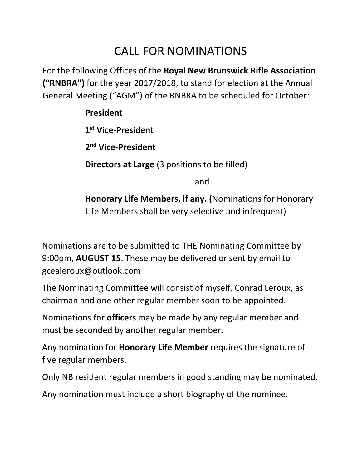## CALL FOR NOMINATIONS

For the following Offices of the **Royal New Brunswick Rifle Association ("RNBRA")** for the year 2017/2018, to stand for election at the Annual General Meeting ("AGM") of the RNBRA to be scheduled for October:

## **President**

**1 st Vice-President**

**2 nd Vice-President**

**Directors at Large** (3 positions to be filled)

and

**Honorary Life Members, if any. (**Nominations for Honorary Life Members shall be very selective and infrequent)

Nominations are to be submitted to THE Nominating Committee by 9:00pm, **AUGUST 15**. These may be delivered or sent by email to gcealeroux@outlook.com

The Nominating Committee will consist of myself, Conrad Leroux, as chairman and one other regular member soon to be appointed.

Nominations for **officers** may be made by any regular member and must be seconded by another regular member.

Any nomination for **Honorary Life Member** requires the signature of five regular members.

Only NB resident regular members in good standing may be nominated.

Any nomination must include a short biography of the nominee.